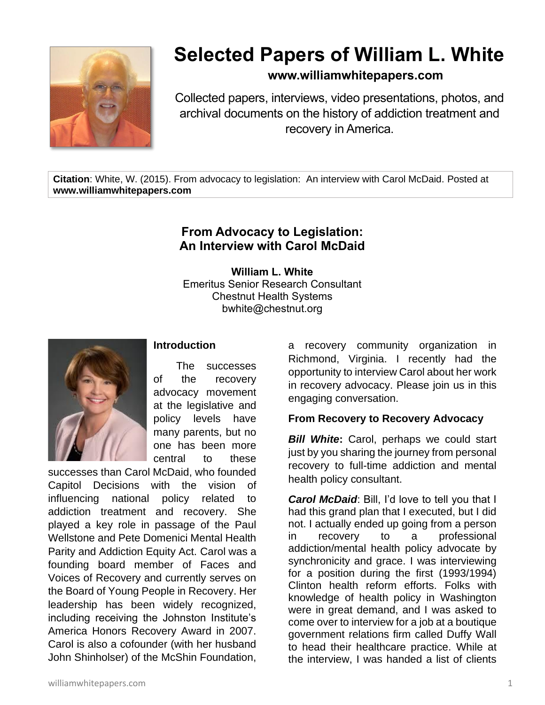

# **Selected Papers of William L. White**

## **www.williamwhitepapers.com**

Collected papers, interviews, video presentations, photos, and archival documents on the history of addiction treatment and recovery in America.

**Citation**: White, W. (2015). From advocacy to legislation: An interview with Carol McDaid. Posted at **www.williamwhitepapers.com**

# **From Advocacy to Legislation: An Interview with Carol McDaid**

**William L. White** Emeritus Senior Research Consultant Chestnut Health Systems bwhite@chestnut.org



#### **Introduction**

The successes of the recovery advocacy movement at the legislative and policy levels have many parents, but no one has been more central to these

successes than Carol McDaid, who founded Capitol Decisions with the vision of influencing national policy related to addiction treatment and recovery. She played a key role in passage of the Paul Wellstone and Pete Domenici Mental Health Parity and Addiction Equity Act. Carol was a founding board member of Faces and Voices of Recovery and currently serves on the Board of Young People in Recovery. Her leadership has been widely recognized, including receiving the Johnston Institute's America Honors Recovery Award in 2007. Carol is also a cofounder (with her husband John Shinholser) of the McShin Foundation,

a recovery community organization in Richmond, Virginia. I recently had the opportunity to interview Carol about her work in recovery advocacy. Please join us in this engaging conversation.

## **From Recovery to Recovery Advocacy**

*Bill White***:** Carol, perhaps we could start just by you sharing the journey from personal recovery to full-time addiction and mental health policy consultant.

*Carol McDaid*: Bill, I'd love to tell you that I had this grand plan that I executed, but I did not. I actually ended up going from a person in recovery to a professional addiction/mental health policy advocate by synchronicity and grace. I was interviewing for a position during the first (1993/1994) Clinton health reform efforts. Folks with knowledge of health policy in Washington were in great demand, and I was asked to come over to interview for a job at a boutique government relations firm called Duffy Wall to head their healthcare practice. While at the interview, I was handed a list of clients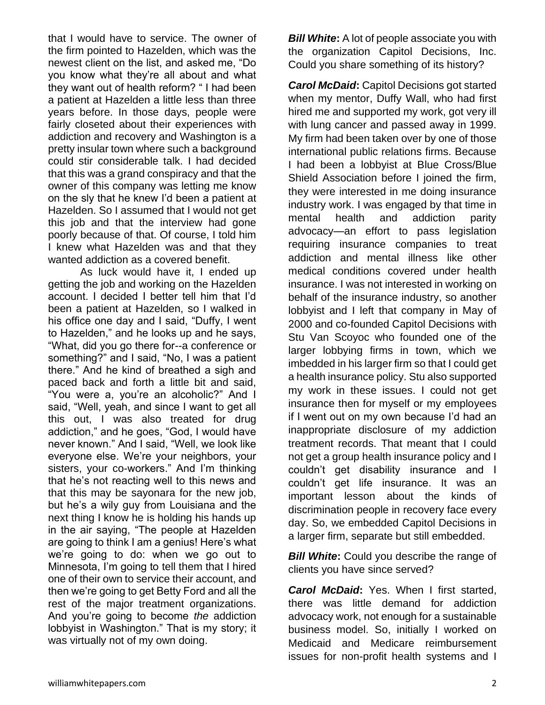that I would have to service. The owner of the firm pointed to Hazelden, which was the newest client on the list, and asked me, "Do you know what they're all about and what they want out of health reform? " I had been a patient at Hazelden a little less than three years before. In those days, people were fairly closeted about their experiences with addiction and recovery and Washington is a pretty insular town where such a background could stir considerable talk. I had decided that this was a grand conspiracy and that the owner of this company was letting me know on the sly that he knew I'd been a patient at Hazelden. So I assumed that I would not get this job and that the interview had gone poorly because of that. Of course, I told him I knew what Hazelden was and that they wanted addiction as a covered benefit.

As luck would have it, I ended up getting the job and working on the Hazelden account. I decided I better tell him that I'd been a patient at Hazelden, so I walked in his office one day and I said, "Duffy, I went to Hazelden," and he looks up and he says, "What, did you go there for--a conference or something?" and I said, "No, I was a patient there." And he kind of breathed a sigh and paced back and forth a little bit and said, "You were a, you're an alcoholic?" And I said, "Well, yeah, and since I want to get all this out, I was also treated for drug addiction," and he goes, "God, I would have never known." And I said, "Well, we look like everyone else. We're your neighbors, your sisters, your co-workers." And I'm thinking that he's not reacting well to this news and that this may be sayonara for the new job, but he's a wily guy from Louisiana and the next thing I know he is holding his hands up in the air saying, "The people at Hazelden are going to think I am a genius! Here's what we're going to do: when we go out to Minnesota, I'm going to tell them that I hired one of their own to service their account, and then we're going to get Betty Ford and all the rest of the major treatment organizations. And you're going to become *the* addiction lobbyist in Washington." That is my story; it was virtually not of my own doing.

*Bill White***:** A lot of people associate you with the organization Capitol Decisions, Inc. Could you share something of its history?

*Carol McDaid***:** Capitol Decisions got started when my mentor, Duffy Wall, who had first hired me and supported my work, got very ill with lung cancer and passed away in 1999. My firm had been taken over by one of those international public relations firms. Because I had been a lobbyist at Blue Cross/Blue Shield Association before I joined the firm, they were interested in me doing insurance industry work. I was engaged by that time in mental health and addiction parity advocacy—an effort to pass legislation requiring insurance companies to treat addiction and mental illness like other medical conditions covered under health insurance. I was not interested in working on behalf of the insurance industry, so another lobbyist and I left that company in May of 2000 and co-founded Capitol Decisions with Stu Van Scoyoc who founded one of the larger lobbying firms in town, which we imbedded in his larger firm so that I could get a health insurance policy. Stu also supported my work in these issues. I could not get insurance then for myself or my employees if I went out on my own because I'd had an inappropriate disclosure of my addiction treatment records. That meant that I could not get a group health insurance policy and I couldn't get disability insurance and I couldn't get life insurance. It was an important lesson about the kinds of discrimination people in recovery face every day. So, we embedded Capitol Decisions in a larger firm, separate but still embedded.

**Bill White:** Could you describe the range of clients you have since served?

*Carol McDaid***:** Yes. When I first started, there was little demand for addiction advocacy work, not enough for a sustainable business model. So, initially I worked on Medicaid and Medicare reimbursement issues for non-profit health systems and I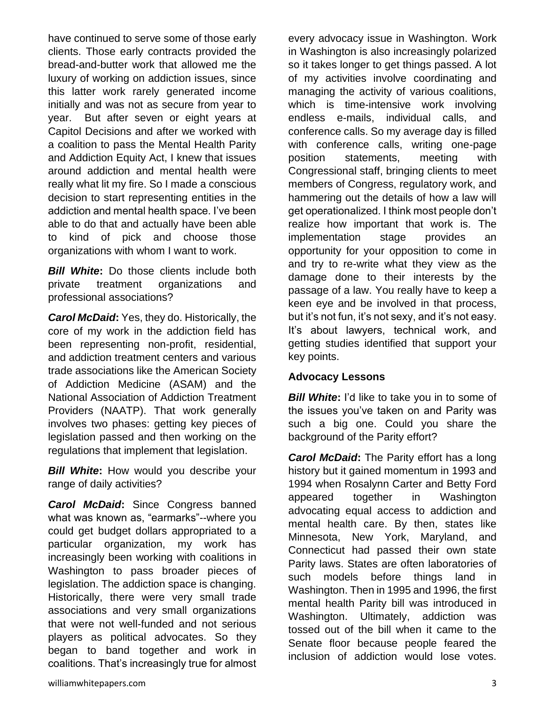have continued to serve some of those early clients. Those early contracts provided the bread-and-butter work that allowed me the luxury of working on addiction issues, since this latter work rarely generated income initially and was not as secure from year to year. But after seven or eight years at Capitol Decisions and after we worked with a coalition to pass the Mental Health Parity and Addiction Equity Act, I knew that issues around addiction and mental health were really what lit my fire. So I made a conscious decision to start representing entities in the addiction and mental health space. I've been able to do that and actually have been able to kind of pick and choose those organizations with whom I want to work.

**Bill White:** Do those clients include both private treatment organizations and professional associations?

*Carol McDaid***:** Yes, they do. Historically, the core of my work in the addiction field has been representing non-profit, residential, and addiction treatment centers and various trade associations like the American Society of Addiction Medicine (ASAM) and the National Association of Addiction Treatment Providers (NAATP). That work generally involves two phases: getting key pieces of legislation passed and then working on the regulations that implement that legislation.

**Bill White:** How would you describe your range of daily activities?

*Carol McDaid***:** Since Congress banned what was known as, "earmarks"--where you could get budget dollars appropriated to a particular organization, my work has increasingly been working with coalitions in Washington to pass broader pieces of legislation. The addiction space is changing. Historically, there were very small trade associations and very small organizations that were not well-funded and not serious players as political advocates. So they began to band together and work in coalitions. That's increasingly true for almost every advocacy issue in Washington. Work in Washington is also increasingly polarized so it takes longer to get things passed. A lot of my activities involve coordinating and managing the activity of various coalitions, which is time-intensive work involving endless e-mails, individual calls, and conference calls. So my average day is filled with conference calls, writing one-page position statements, meeting with Congressional staff, bringing clients to meet members of Congress, regulatory work, and hammering out the details of how a law will get operationalized. I think most people don't realize how important that work is. The implementation stage provides an opportunity for your opposition to come in and try to re-write what they view as the damage done to their interests by the passage of a law. You really have to keep a keen eye and be involved in that process, but it's not fun, it's not sexy, and it's not easy. It's about lawyers, technical work, and getting studies identified that support your key points.

## **Advocacy Lessons**

**Bill White:** I'd like to take you in to some of the issues you've taken on and Parity was such a big one. Could you share the background of the Parity effort?

*Carol McDaid***:** The Parity effort has a long history but it gained momentum in 1993 and 1994 when Rosalynn Carter and Betty Ford appeared together in Washington advocating equal access to addiction and mental health care. By then, states like Minnesota, New York, Maryland, and Connecticut had passed their own state Parity laws. States are often laboratories of such models before things land in Washington. Then in 1995 and 1996, the first mental health Parity bill was introduced in Washington. Ultimately, addiction was tossed out of the bill when it came to the Senate floor because people feared the inclusion of addiction would lose votes.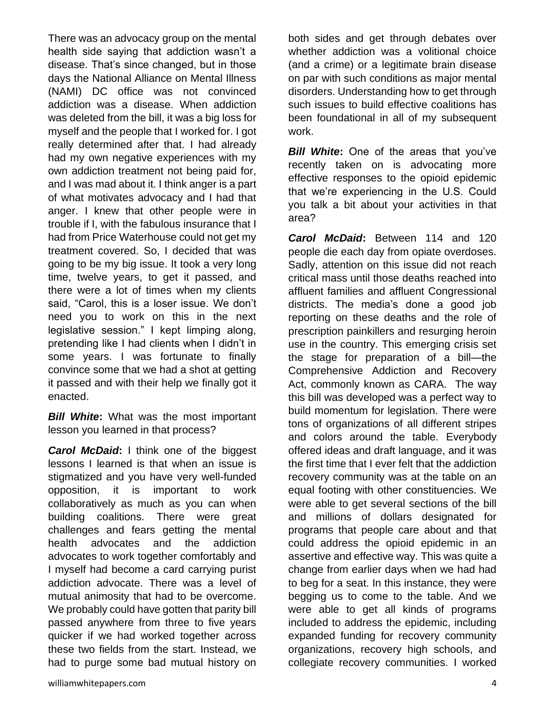There was an advocacy group on the mental health side saying that addiction wasn't a disease. That's since changed, but in those days the National Alliance on Mental Illness (NAMI) DC office was not convinced addiction was a disease. When addiction was deleted from the bill, it was a big loss for myself and the people that I worked for. I got really determined after that. I had already had my own negative experiences with my own addiction treatment not being paid for, and I was mad about it. I think anger is a part of what motivates advocacy and I had that anger. I knew that other people were in trouble if I, with the fabulous insurance that I had from Price Waterhouse could not get my treatment covered. So, I decided that was going to be my big issue. It took a very long time, twelve years, to get it passed, and there were a lot of times when my clients said, "Carol, this is a loser issue. We don't need you to work on this in the next legislative session." I kept limping along, pretending like I had clients when I didn't in some years. I was fortunate to finally convince some that we had a shot at getting it passed and with their help we finally got it enacted.

*Bill White***:** What was the most important lesson you learned in that process?

*Carol McDaid***:** I think one of the biggest lessons I learned is that when an issue is stigmatized and you have very well-funded opposition, it is important to work collaboratively as much as you can when building coalitions. There were great challenges and fears getting the mental health advocates and the addiction advocates to work together comfortably and I myself had become a card carrying purist addiction advocate. There was a level of mutual animosity that had to be overcome. We probably could have gotten that parity bill passed anywhere from three to five years quicker if we had worked together across these two fields from the start. Instead, we had to purge some bad mutual history on

both sides and get through debates over whether addiction was a volitional choice (and a crime) or a legitimate brain disease on par with such conditions as major mental disorders. Understanding how to get through such issues to build effective coalitions has been foundational in all of my subsequent work.

**Bill White:** One of the areas that you've recently taken on is advocating more effective responses to the opioid epidemic that we're experiencing in the U.S. Could you talk a bit about your activities in that area?

*Carol McDaid***:** Between 114 and 120 people die each day from opiate overdoses. Sadly, attention on this issue did not reach critical mass until those deaths reached into affluent families and affluent Congressional districts. The media's done a good job reporting on these deaths and the role of prescription painkillers and resurging heroin use in the country. This emerging crisis set the stage for preparation of a bill—the Comprehensive Addiction and Recovery Act, commonly known as CARA. The way this bill was developed was a perfect way to build momentum for legislation. There were tons of organizations of all different stripes and colors around the table. Everybody offered ideas and draft language, and it was the first time that I ever felt that the addiction recovery community was at the table on an equal footing with other constituencies. We were able to get several sections of the bill and millions of dollars designated for programs that people care about and that could address the opioid epidemic in an assertive and effective way. This was quite a change from earlier days when we had had to beg for a seat. In this instance, they were begging us to come to the table. And we were able to get all kinds of programs included to address the epidemic, including expanded funding for recovery community organizations, recovery high schools, and collegiate recovery communities. I worked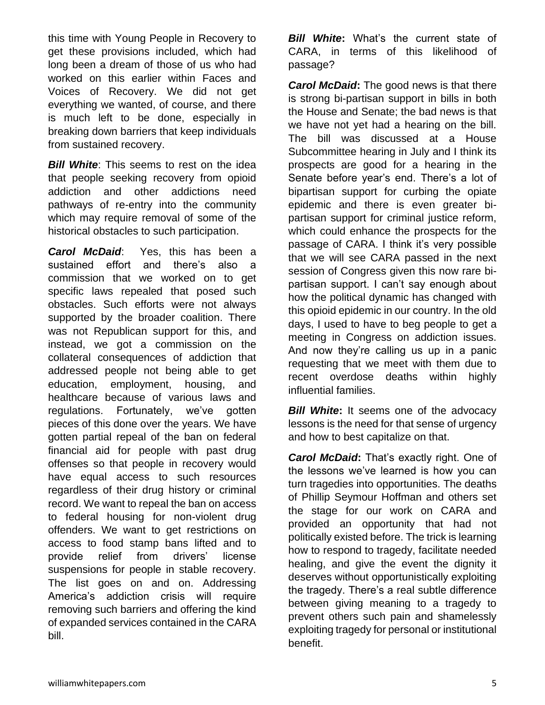this time with Young People in Recovery to get these provisions included, which had long been a dream of those of us who had worked on this earlier within Faces and Voices of Recovery. We did not get everything we wanted, of course, and there is much left to be done, especially in breaking down barriers that keep individuals from sustained recovery.

**Bill White:** This seems to rest on the idea that people seeking recovery from opioid addiction and other addictions need pathways of re-entry into the community which may require removal of some of the historical obstacles to such participation.

*Carol McDaid*: Yes, this has been a sustained effort and there's also a commission that we worked on to get specific laws repealed that posed such obstacles. Such efforts were not always supported by the broader coalition. There was not Republican support for this, and instead, we got a commission on the collateral consequences of addiction that addressed people not being able to get education, employment, housing, and healthcare because of various laws and regulations. Fortunately, we've gotten pieces of this done over the years. We have gotten partial repeal of the ban on federal financial aid for people with past drug offenses so that people in recovery would have equal access to such resources regardless of their drug history or criminal record. We want to repeal the ban on access to federal housing for non-violent drug offenders. We want to get restrictions on access to food stamp bans lifted and to provide relief from drivers' license suspensions for people in stable recovery. The list goes on and on. Addressing America's addiction crisis will require removing such barriers and offering the kind of expanded services contained in the CARA bill.

*Bill White***:** What's the current state of CARA, in terms of this likelihood of passage?

*Carol McDaid***:** The good news is that there is strong bi-partisan support in bills in both the House and Senate; the bad news is that we have not yet had a hearing on the bill. The bill was discussed at a House Subcommittee hearing in July and I think its prospects are good for a hearing in the Senate before year's end. There's a lot of bipartisan support for curbing the opiate epidemic and there is even greater bipartisan support for criminal justice reform, which could enhance the prospects for the passage of CARA. I think it's very possible that we will see CARA passed in the next session of Congress given this now rare bipartisan support. I can't say enough about how the political dynamic has changed with this opioid epidemic in our country. In the old days, I used to have to beg people to get a meeting in Congress on addiction issues. And now they're calling us up in a panic requesting that we meet with them due to recent overdose deaths within highly influential families.

**Bill White:** It seems one of the advocacy lessons is the need for that sense of urgency and how to best capitalize on that.

*Carol McDaid***:** That's exactly right. One of the lessons we've learned is how you can turn tragedies into opportunities. The deaths of Phillip Seymour Hoffman and others set the stage for our work on CARA and provided an opportunity that had not politically existed before. The trick is learning how to respond to tragedy, facilitate needed healing, and give the event the dignity it deserves without opportunistically exploiting the tragedy. There's a real subtle difference between giving meaning to a tragedy to prevent others such pain and shamelessly exploiting tragedy for personal or institutional benefit.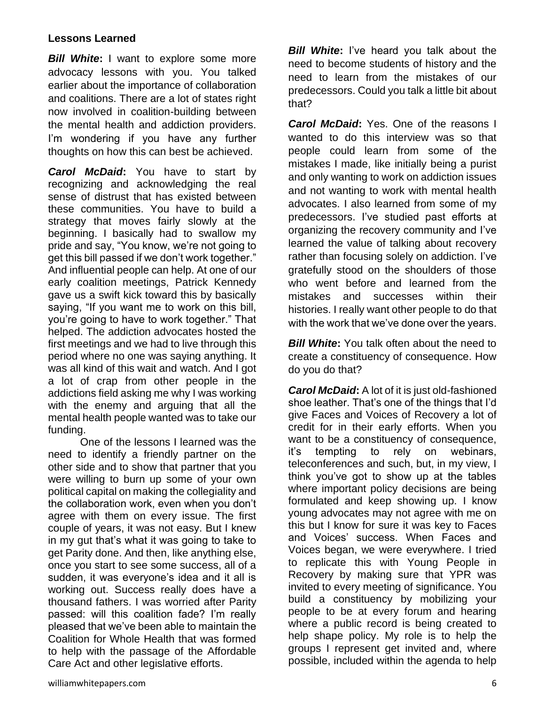#### **Lessons Learned**

**Bill White:** I want to explore some more advocacy lessons with you. You talked earlier about the importance of collaboration and coalitions. There are a lot of states right now involved in coalition-building between the mental health and addiction providers. I'm wondering if you have any further thoughts on how this can best be achieved.

*Carol McDaid***:** You have to start by recognizing and acknowledging the real sense of distrust that has existed between these communities. You have to build a strategy that moves fairly slowly at the beginning. I basically had to swallow my pride and say, "You know, we're not going to get this bill passed if we don't work together." And influential people can help. At one of our early coalition meetings, Patrick Kennedy gave us a swift kick toward this by basically saying, "If you want me to work on this bill, you're going to have to work together." That helped. The addiction advocates hosted the first meetings and we had to live through this period where no one was saying anything. It was all kind of this wait and watch. And I got a lot of crap from other people in the addictions field asking me why I was working with the enemy and arguing that all the mental health people wanted was to take our funding.

One of the lessons I learned was the need to identify a friendly partner on the other side and to show that partner that you were willing to burn up some of your own political capital on making the collegiality and the collaboration work, even when you don't agree with them on every issue. The first couple of years, it was not easy. But I knew in my gut that's what it was going to take to get Parity done. And then, like anything else, once you start to see some success, all of a sudden, it was everyone's idea and it all is working out. Success really does have a thousand fathers. I was worried after Parity passed: will this coalition fade? I'm really pleased that we've been able to maintain the Coalition for Whole Health that was formed to help with the passage of the Affordable Care Act and other legislative efforts.

*Bill White***:** I've heard you talk about the need to become students of history and the need to learn from the mistakes of our predecessors. Could you talk a little bit about that?

*Carol McDaid***:** Yes. One of the reasons I wanted to do this interview was so that people could learn from some of the mistakes I made, like initially being a purist and only wanting to work on addiction issues and not wanting to work with mental health advocates. I also learned from some of my predecessors. I've studied past efforts at organizing the recovery community and I've learned the value of talking about recovery rather than focusing solely on addiction. I've gratefully stood on the shoulders of those who went before and learned from the mistakes and successes within their histories. I really want other people to do that with the work that we've done over the years.

**Bill White:** You talk often about the need to create a constituency of consequence. How do you do that?

*Carol McDaid***:** A lot of it is just old-fashioned shoe leather. That's one of the things that I'd give Faces and Voices of Recovery a lot of credit for in their early efforts. When you want to be a constituency of consequence, it's tempting to rely on webinars, teleconferences and such, but, in my view, I think you've got to show up at the tables where important policy decisions are being formulated and keep showing up. I know young advocates may not agree with me on this but I know for sure it was key to Faces and Voices' success. When Faces and Voices began, we were everywhere. I tried to replicate this with Young People in Recovery by making sure that YPR was invited to every meeting of significance. You build a constituency by mobilizing your people to be at every forum and hearing where a public record is being created to help shape policy. My role is to help the groups I represent get invited and, where possible, included within the agenda to help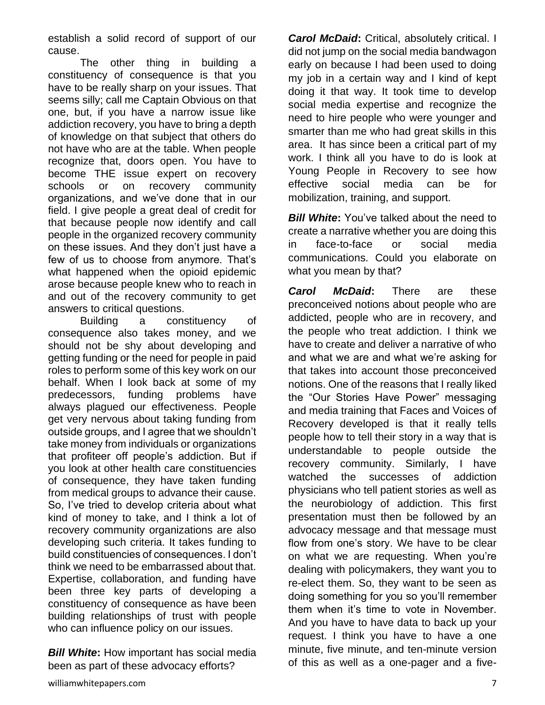establish a solid record of support of our cause.

The other thing in building a constituency of consequence is that you have to be really sharp on your issues. That seems silly; call me Captain Obvious on that one, but, if you have a narrow issue like addiction recovery, you have to bring a depth of knowledge on that subject that others do not have who are at the table. When people recognize that, doors open. You have to become THE issue expert on recovery schools or on recovery community organizations, and we've done that in our field. I give people a great deal of credit for that because people now identify and call people in the organized recovery community on these issues. And they don't just have a few of us to choose from anymore. That's what happened when the opioid epidemic arose because people knew who to reach in and out of the recovery community to get answers to critical questions.

Building a constituency of consequence also takes money, and we should not be shy about developing and getting funding or the need for people in paid roles to perform some of this key work on our behalf. When I look back at some of my predecessors, funding problems have always plagued our effectiveness. People get very nervous about taking funding from outside groups, and I agree that we shouldn't take money from individuals or organizations that profiteer off people's addiction. But if you look at other health care constituencies of consequence, they have taken funding from medical groups to advance their cause. So, I've tried to develop criteria about what kind of money to take, and I think a lot of recovery community organizations are also developing such criteria. It takes funding to build constituencies of consequences. I don't think we need to be embarrassed about that. Expertise, collaboration, and funding have been three key parts of developing a constituency of consequence as have been building relationships of trust with people who can influence policy on our issues.

*Bill White***:** How important has social media been as part of these advocacy efforts?

*Carol McDaid***:** Critical, absolutely critical. I did not jump on the social media bandwagon early on because I had been used to doing my job in a certain way and I kind of kept doing it that way. It took time to develop social media expertise and recognize the need to hire people who were younger and smarter than me who had great skills in this area. It has since been a critical part of my work. I think all you have to do is look at Young People in Recovery to see how effective social media can be for mobilization, training, and support.

**Bill White:** You've talked about the need to create a narrative whether you are doing this in face-to-face or social media communications. Could you elaborate on what you mean by that?

*Carol McDaid***:** There are these preconceived notions about people who are addicted, people who are in recovery, and the people who treat addiction. I think we have to create and deliver a narrative of who and what we are and what we're asking for that takes into account those preconceived notions. One of the reasons that I really liked the "Our Stories Have Power" messaging and media training that Faces and Voices of Recovery developed is that it really tells people how to tell their story in a way that is understandable to people outside the recovery community. Similarly, I have watched the successes of addiction physicians who tell patient stories as well as the neurobiology of addiction. This first presentation must then be followed by an advocacy message and that message must flow from one's story. We have to be clear on what we are requesting. When you're dealing with policymakers, they want you to re-elect them. So, they want to be seen as doing something for you so you'll remember them when it's time to vote in November. And you have to have data to back up your request. I think you have to have a one minute, five minute, and ten-minute version of this as well as a one-pager and a five-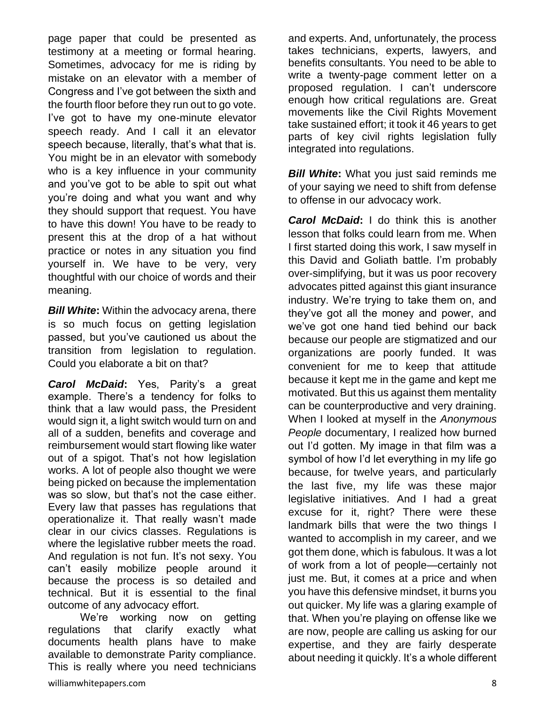page paper that could be presented as testimony at a meeting or formal hearing. Sometimes, advocacy for me is riding by mistake on an elevator with a member of Congress and I've got between the sixth and the fourth floor before they run out to go vote. I've got to have my one-minute elevator speech ready. And I call it an elevator speech because, literally, that's what that is. You might be in an elevator with somebody who is a key influence in your community and you've got to be able to spit out what you're doing and what you want and why they should support that request. You have to have this down! You have to be ready to present this at the drop of a hat without practice or notes in any situation you find yourself in. We have to be very, very thoughtful with our choice of words and their meaning.

*Bill White:* Within the advocacy arena, there is so much focus on getting legislation passed, but you've cautioned us about the transition from legislation to regulation. Could you elaborate a bit on that?

*Carol McDaid***:** Yes, Parity's a great example. There's a tendency for folks to think that a law would pass, the President would sign it, a light switch would turn on and all of a sudden, benefits and coverage and reimbursement would start flowing like water out of a spigot. That's not how legislation works. A lot of people also thought we were being picked on because the implementation was so slow, but that's not the case either. Every law that passes has regulations that operationalize it. That really wasn't made clear in our civics classes. Regulations is where the legislative rubber meets the road. And regulation is not fun. It's not sexy. You can't easily mobilize people around it because the process is so detailed and technical. But it is essential to the final outcome of any advocacy effort.

We're working now on getting regulations that clarify exactly what documents health plans have to make available to demonstrate Parity compliance. This is really where you need technicians

and experts. And, unfortunately, the process takes technicians, experts, lawyers, and benefits consultants. You need to be able to write a twenty-page comment letter on a proposed regulation. I can't underscore enough how critical regulations are. Great movements like the Civil Rights Movement take sustained effort; it took it 46 years to get parts of key civil rights legislation fully integrated into regulations.

*Bill White***:** What you just said reminds me of your saying we need to shift from defense to offense in our advocacy work.

*Carol McDaid***:** I do think this is another lesson that folks could learn from me. When I first started doing this work, I saw myself in this David and Goliath battle. I'm probably over-simplifying, but it was us poor recovery advocates pitted against this giant insurance industry. We're trying to take them on, and they've got all the money and power, and we've got one hand tied behind our back because our people are stigmatized and our organizations are poorly funded. It was convenient for me to keep that attitude because it kept me in the game and kept me motivated. But this us against them mentality can be counterproductive and very draining. When I looked at myself in the *Anonymous People* documentary, I realized how burned out I'd gotten. My image in that film was a symbol of how I'd let everything in my life go because, for twelve years, and particularly the last five, my life was these major legislative initiatives. And I had a great excuse for it, right? There were these landmark bills that were the two things I wanted to accomplish in my career, and we got them done, which is fabulous. It was a lot of work from a lot of people—certainly not just me. But, it comes at a price and when you have this defensive mindset, it burns you out quicker. My life was a glaring example of that. When you're playing on offense like we are now, people are calling us asking for our expertise, and they are fairly desperate about needing it quickly. It's a whole different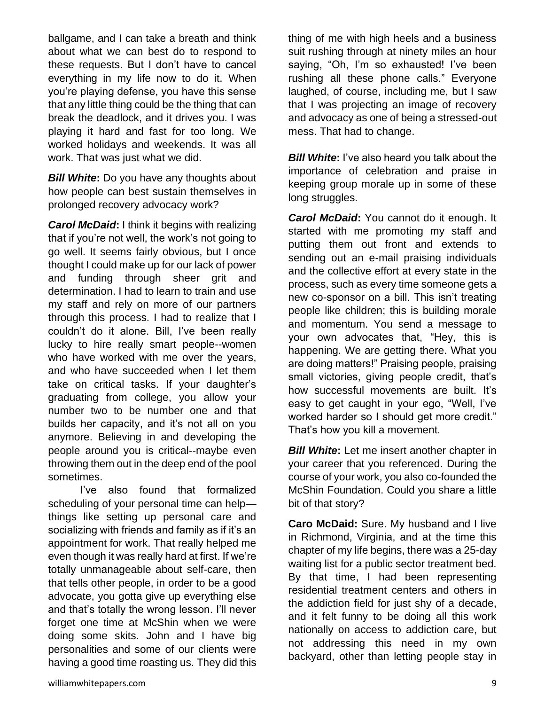ballgame, and I can take a breath and think about what we can best do to respond to these requests. But I don't have to cancel everything in my life now to do it. When you're playing defense, you have this sense that any little thing could be the thing that can break the deadlock, and it drives you. I was playing it hard and fast for too long. We worked holidays and weekends. It was all work. That was just what we did.

*Bill White***:** Do you have any thoughts about how people can best sustain themselves in prolonged recovery advocacy work?

*Carol McDaid***:** I think it begins with realizing that if you're not well, the work's not going to go well. It seems fairly obvious, but I once thought I could make up for our lack of power and funding through sheer grit and determination. I had to learn to train and use my staff and rely on more of our partners through this process. I had to realize that I couldn't do it alone. Bill, I've been really lucky to hire really smart people--women who have worked with me over the years, and who have succeeded when I let them take on critical tasks. If your daughter's graduating from college, you allow your number two to be number one and that builds her capacity, and it's not all on you anymore. Believing in and developing the people around you is critical--maybe even throwing them out in the deep end of the pool sometimes.

I've also found that formalized scheduling of your personal time can help things like setting up personal care and socializing with friends and family as if it's an appointment for work. That really helped me even though it was really hard at first. If we're totally unmanageable about self-care, then that tells other people, in order to be a good advocate, you gotta give up everything else and that's totally the wrong lesson. I'll never forget one time at McShin when we were doing some skits. John and I have big personalities and some of our clients were having a good time roasting us. They did this

thing of me with high heels and a business suit rushing through at ninety miles an hour saying, "Oh, I'm so exhausted! I've been rushing all these phone calls." Everyone laughed, of course, including me, but I saw that I was projecting an image of recovery and advocacy as one of being a stressed-out mess. That had to change.

*Bill White***:** I've also heard you talk about the importance of celebration and praise in keeping group morale up in some of these long struggles.

*Carol McDaid***:** You cannot do it enough. It started with me promoting my staff and putting them out front and extends to sending out an e-mail praising individuals and the collective effort at every state in the process, such as every time someone gets a new co-sponsor on a bill. This isn't treating people like children; this is building morale and momentum. You send a message to your own advocates that, "Hey, this is happening. We are getting there. What you are doing matters!" Praising people, praising small victories, giving people credit, that's how successful movements are built. It's easy to get caught in your ego, "Well, I've worked harder so I should get more credit." That's how you kill a movement.

*Bill White***:** Let me insert another chapter in your career that you referenced. During the course of your work, you also co-founded the McShin Foundation. Could you share a little bit of that story?

**Caro McDaid:** Sure. My husband and I live in Richmond, Virginia, and at the time this chapter of my life begins, there was a 25-day waiting list for a public sector treatment bed. By that time, I had been representing residential treatment centers and others in the addiction field for just shy of a decade, and it felt funny to be doing all this work nationally on access to addiction care, but not addressing this need in my own backyard, other than letting people stay in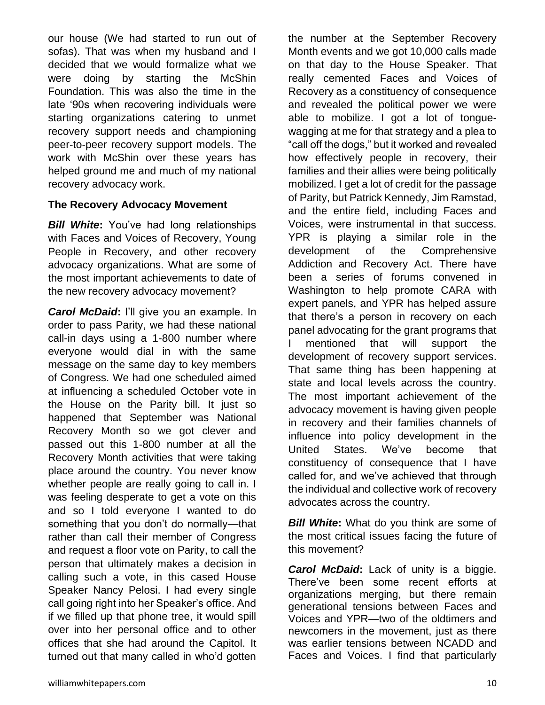our house (We had started to run out of sofas). That was when my husband and I decided that we would formalize what we were doing by starting the McShin Foundation. This was also the time in the late '90s when recovering individuals were starting organizations catering to unmet recovery support needs and championing peer-to-peer recovery support models. The work with McShin over these years has helped ground me and much of my national recovery advocacy work.

#### **The Recovery Advocacy Movement**

*Bill White***:** You've had long relationships with Faces and Voices of Recovery, Young People in Recovery, and other recovery advocacy organizations. What are some of the most important achievements to date of the new recovery advocacy movement?

*Carol McDaid***:** I'll give you an example. In order to pass Parity, we had these national call-in days using a 1-800 number where everyone would dial in with the same message on the same day to key members of Congress. We had one scheduled aimed at influencing a scheduled October vote in the House on the Parity bill. It just so happened that September was National Recovery Month so we got clever and passed out this 1-800 number at all the Recovery Month activities that were taking place around the country. You never know whether people are really going to call in. I was feeling desperate to get a vote on this and so I told everyone I wanted to do something that you don't do normally—that rather than call their member of Congress and request a floor vote on Parity, to call the person that ultimately makes a decision in calling such a vote, in this cased House Speaker Nancy Pelosi. I had every single call going right into her Speaker's office. And if we filled up that phone tree, it would spill over into her personal office and to other offices that she had around the Capitol. It turned out that many called in who'd gotten

the number at the September Recovery Month events and we got 10,000 calls made on that day to the House Speaker. That really cemented Faces and Voices of Recovery as a constituency of consequence and revealed the political power we were able to mobilize. I got a lot of tonguewagging at me for that strategy and a plea to "call off the dogs," but it worked and revealed how effectively people in recovery, their families and their allies were being politically mobilized. I get a lot of credit for the passage of Parity, but Patrick Kennedy, Jim Ramstad, and the entire field, including Faces and Voices, were instrumental in that success. YPR is playing a similar role in the development of the Comprehensive Addiction and Recovery Act. There have been a series of forums convened in Washington to help promote CARA with expert panels, and YPR has helped assure that there's a person in recovery on each panel advocating for the grant programs that mentioned that will support the development of recovery support services. That same thing has been happening at state and local levels across the country. The most important achievement of the advocacy movement is having given people in recovery and their families channels of influence into policy development in the United States. We've become that constituency of consequence that I have called for, and we've achieved that through the individual and collective work of recovery advocates across the country.

*Bill White***:** What do you think are some of the most critical issues facing the future of this movement?

*Carol McDaid***:** Lack of unity is a biggie. There've been some recent efforts at organizations merging, but there remain generational tensions between Faces and Voices and YPR—two of the oldtimers and newcomers in the movement, just as there was earlier tensions between NCADD and Faces and Voices. I find that particularly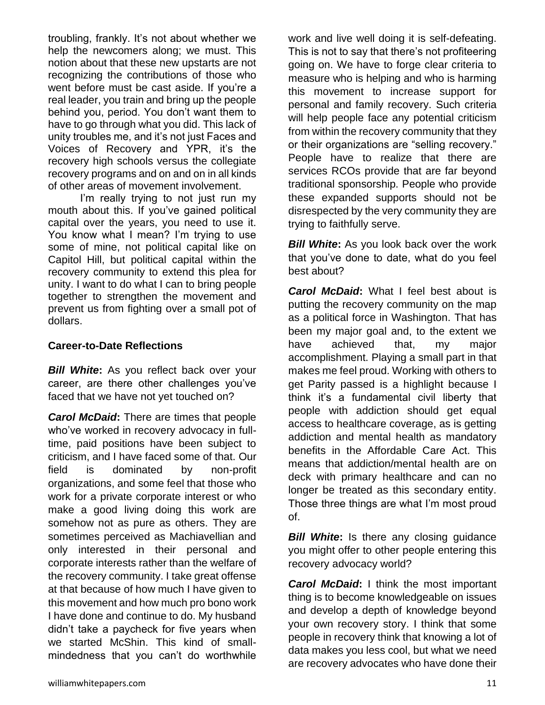troubling, frankly. It's not about whether we help the newcomers along; we must. This notion about that these new upstarts are not recognizing the contributions of those who went before must be cast aside. If you're a real leader, you train and bring up the people behind you, period. You don't want them to have to go through what you did. This lack of unity troubles me, and it's not just Faces and Voices of Recovery and YPR, it's the recovery high schools versus the collegiate recovery programs and on and on in all kinds of other areas of movement involvement.

I'm really trying to not just run my mouth about this. If you've gained political capital over the years, you need to use it. You know what I mean? I'm trying to use some of mine, not political capital like on Capitol Hill, but political capital within the recovery community to extend this plea for unity. I want to do what I can to bring people together to strengthen the movement and prevent us from fighting over a small pot of dollars.

#### **Career-to-Date Reflections**

*Bill White***:** As you reflect back over your career, are there other challenges you've faced that we have not yet touched on?

*Carol McDaid***:** There are times that people who've worked in recovery advocacy in fulltime, paid positions have been subject to criticism, and I have faced some of that. Our field is dominated by non-profit organizations, and some feel that those who work for a private corporate interest or who make a good living doing this work are somehow not as pure as others. They are sometimes perceived as Machiavellian and only interested in their personal and corporate interests rather than the welfare of the recovery community. I take great offense at that because of how much I have given to this movement and how much pro bono work I have done and continue to do. My husband didn't take a paycheck for five years when we started McShin. This kind of smallmindedness that you can't do worthwhile

work and live well doing it is self-defeating. This is not to say that there's not profiteering going on. We have to forge clear criteria to measure who is helping and who is harming this movement to increase support for personal and family recovery. Such criteria will help people face any potential criticism from within the recovery community that they or their organizations are "selling recovery." People have to realize that there are services RCOs provide that are far beyond traditional sponsorship. People who provide these expanded supports should not be disrespected by the very community they are trying to faithfully serve.

*Bill White***:** As you look back over the work that you've done to date, what do you feel best about?

*Carol McDaid***:** What I feel best about is putting the recovery community on the map as a political force in Washington. That has been my major goal and, to the extent we have achieved that, my major accomplishment. Playing a small part in that makes me feel proud. Working with others to get Parity passed is a highlight because I think it's a fundamental civil liberty that people with addiction should get equal access to healthcare coverage, as is getting addiction and mental health as mandatory benefits in the Affordable Care Act. This means that addiction/mental health are on deck with primary healthcare and can no longer be treated as this secondary entity. Those three things are what I'm most proud of.

*Bill White*: Is there any closing guidance you might offer to other people entering this recovery advocacy world?

*Carol McDaid***:** I think the most important thing is to become knowledgeable on issues and develop a depth of knowledge beyond your own recovery story. I think that some people in recovery think that knowing a lot of data makes you less cool, but what we need are recovery advocates who have done their